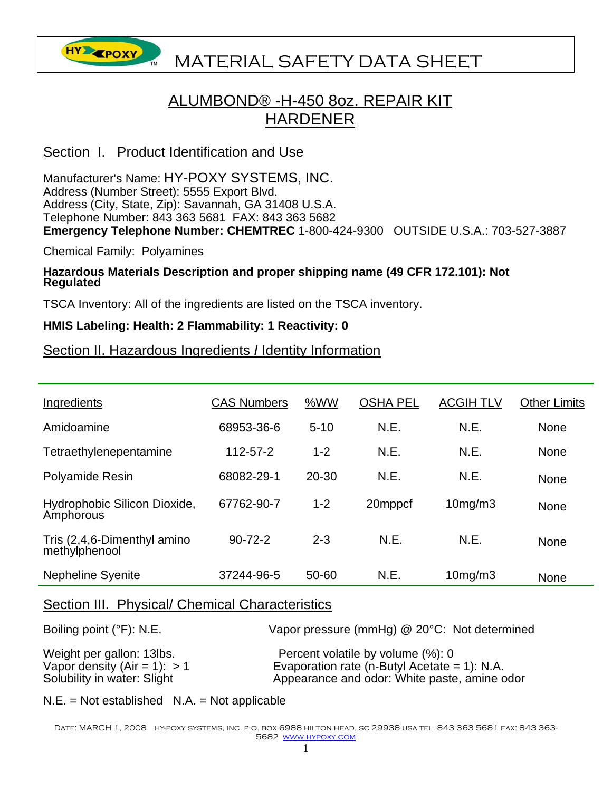# **HY EPOXY** MATERIAL SAFETY DATA SHEET

### ALUMBOND® -H-450 8oz. REPAIR KIT HARDENER

#### Section I. Product Identification and Use

Manufacturer's Name: HY-POXY SYSTEMS, INC. Address (Number Street): 5555 Export Blvd. Address (City, State, Zip): Savannah, GA 31408 U.S.A. Telephone Number: 843 363 5681 FAX: 843 363 5682 **Emergency Telephone Number: CHEMTREC** 1-800-424-9300 OUTSIDE U.S.A.: 703-527-3887

Chemical Family: Polyamines

## **Hazardous Materials Description and proper shipping name (49 CFR 172.101): Not Regulated**

TSCA Inventory: All of the ingredients are listed on the TSCA inventory.

#### **HMIS Labeling: Health: 2 Flammability: 1 Reactivity: 0**

#### Section II. Hazardous Ingredients *I* Identity Information

| Ingredients                                  | <b>CAS Numbers</b> | %WW       | <b>OSHA PEL</b> | <b>ACGIH TLV</b> | <b>Other Limits</b> |
|----------------------------------------------|--------------------|-----------|-----------------|------------------|---------------------|
| Amidoamine                                   | 68953-36-6         | $5 - 10$  | N.E.            | N.E.             | None                |
| Tetraethylenepentamine                       | 112-57-2           | $1 - 2$   | N.E.            | N.E.             | None                |
| <b>Polyamide Resin</b>                       | 68082-29-1         | $20 - 30$ | N.E.            | N.E.             | None                |
| Hydrophobic Silicon Dioxide,<br>Amphorous    | 67762-90-7         | $1 - 2$   | 20mppcf         | 10mg/m3          | None                |
| Tris (2,4,6-Dimenthyl amino<br>methylphenool | $90 - 72 - 2$      | $2 - 3$   | N.E.            | N.E.             | <b>None</b>         |
| <b>Nepheline Syenite</b>                     | 37244-96-5         | 50-60     | N.E.            | 10mg/m3          | None                |

#### Section III. Physical/ Chemical Characteristics

| Boiling point $(°F)$ : N.E.    | Vapor pressure (mmHg) @ 20°C: Not determined    |
|--------------------------------|-------------------------------------------------|
| Weight per gallon: 13lbs.      | Percent volatile by volume (%): 0               |
| Vapor density (Air = 1): $> 1$ | Evaporation rate (n-Butyl Acetate = $1$ ): N.A. |
| Solubility in water: Slight    | Appearance and odor: White paste, amine odor    |

 $N.E. = Not established N.A. = Not applicable$ 

DATE: MARCH 1, 2008 HY-POXY SYSTEMS, INC. P.O. BOX 6988 HILTON HEAD, SC 29938 USA TEL. 843 363 5681 FAX: 843 363-5682 www.hypoxy.com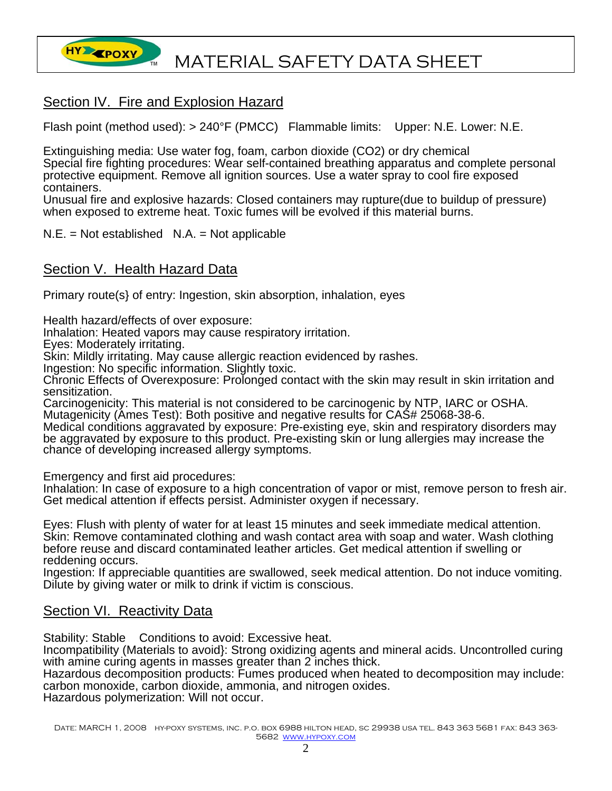

#### Section IV. Fire and Explosion Hazard

Flash point (method used): > 240°F (PMCC) Flammable limits: Upper: N.E. Lower: N.E.

Extinguishing media: Use water fog, foam, carbon dioxide (CO2) or dry chemical Special fire fighting procedures: Wear self-contained breathing apparatus and complete personal protective equipment. Remove all ignition sources. Use a water spray to cool fire exposed containers.

Unusual fire and explosive hazards: Closed containers may rupture(due to buildup of pressure) when exposed to extreme heat. Toxic fumes will be evolved if this material burns.

 $N.E. = Not established N.A. = Not applicable$ 

#### Section V. Health Hazard Data

Primary route(s} of entry: Ingestion, skin absorption, inhalation, eyes

Health hazard/effects of over exposure:

Inhalation: Heated vapors may cause respiratory irritation.

Eyes: Moderately irritating.

Skin: Mildly irritating. May cause allergic reaction evidenced by rashes.

Ingestion: No specific information. Slightly toxic.

Chronic Effects of Overexposure: Prolonged contact with the skin may result in skin irritation and sensitization.

Carcinogenicity: This material is not considered to be carcinogenic by NTP, IARC or OSHA. Mutagenicity (Ames Test): Both positive and negative results for CAS# 25068-38-6.

Medical conditions aggravated by exposure: Pre-existing eye, skin and respiratory disorders may be aggravated by exposure to this product. Pre-existing skin or lung allergies may increase the chance of developing increased allergy symptoms.

Emergency and first aid procedures:

Inhalation: In case of exposure to a high concentration of vapor or mist, remove person to fresh air. Get medical attention if effects persist. Administer oxygen if necessary.

Eyes: Flush with plenty of water for at least 15 minutes and seek immediate medical attention. Skin: Remove contaminated clothing and wash contact area with soap and water. Wash clothing before reuse and discard contaminated leather articles. Get medical attention if swelling or reddening occurs.

Ingestion: If appreciable quantities are swallowed, seek medical attention. Do not induce vomiting. Dilute by giving water or milk to drink if victim is conscious.

#### Section VI. Reactivity Data

Stability: Stable Conditions to avoid: Excessive heat.

Incompatibility (Materials to avoid}: Strong oxidizing agents and mineral acids. Uncontrolled curing with amine curing agents in masses greater than 2 inches thick.

Hazardous decomposition products: Fumes produced when heated to decomposition may include: carbon monoxide, carbon dioxide, ammonia, and nitrogen oxides.

Hazardous polymerization: Will not occur.